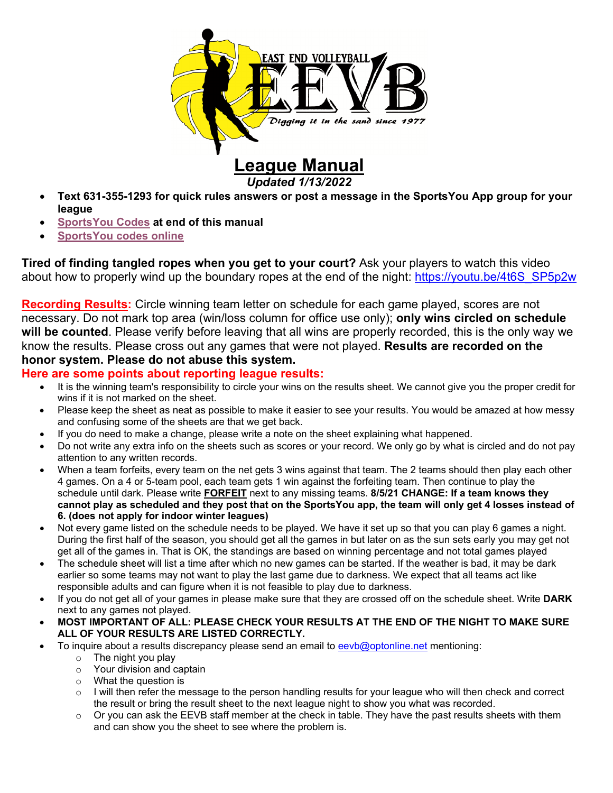

# **League Manual**

*Updated 1/13/2022* 

- **Text 631-355-1293 for quick rules answers or post a message in the SportsYou App group for your league**
- **SportsYou Codes at end of this manual**
- **SportsYou codes online**

**Tired of finding tangled ropes when you get to your court?** Ask your players to watch this video about how to properly wind up the boundary ropes at the end of the night: https://youtu.be/4t6S\_SP5p2w

**Recording Results:** Circle winning team letter on schedule for each game played, scores are not necessary. Do not mark top area (win/loss column for office use only); **only wins circled on schedule will be counted**. Please verify before leaving that all wins are properly recorded, this is the only way we know the results. Please cross out any games that were not played. **Results are recorded on the honor system. Please do not abuse this system.**

#### **Here are some points about reporting league results:**

- It is the winning team's responsibility to circle your wins on the results sheet. We cannot give you the proper credit for wins if it is not marked on the sheet.
- Please keep the sheet as neat as possible to make it easier to see your results. You would be amazed at how messy and confusing some of the sheets are that we get back.
- If you do need to make a change, please write a note on the sheet explaining what happened.
- Do not write any extra info on the sheets such as scores or your record. We only go by what is circled and do not pay attention to any written records.
- When a team forfeits, every team on the net gets 3 wins against that team. The 2 teams should then play each other 4 games. On a 4 or 5-team pool, each team gets 1 win against the forfeiting team. Then continue to play the schedule until dark. Please write **FORFEIT** next to any missing teams. **8/5/21 CHANGE: If a team knows they cannot play as scheduled and they post that on the SportsYou app, the team will only get 4 losses instead of 6. (does not apply for indoor winter leagues)**
- Not every game listed on the schedule needs to be played. We have it set up so that you can play 6 games a night. During the first half of the season, you should get all the games in but later on as the sun sets early you may get not get all of the games in. That is OK, the standings are based on winning percentage and not total games played
- The schedule sheet will list a time after which no new games can be started. If the weather is bad, it may be dark earlier so some teams may not want to play the last game due to darkness. We expect that all teams act like responsible adults and can figure when it is not feasible to play due to darkness.
- If you do not get all of your games in please make sure that they are crossed off on the schedule sheet. Write **DARK** next to any games not played.
- **MOST IMPORTANT OF ALL: PLEASE CHECK YOUR RESULTS AT THE END OF THE NIGHT TO MAKE SURE ALL OF YOUR RESULTS ARE LISTED CORRECTLY.**
- To inquire about a results discrepancy please send an email to eevb@optonline.net mentioning:
	- $\circ$  The night you play
	- o Your division and captain
	- o What the question is
	- o I will then refer the message to the person handling results for your league who will then check and correct the result or bring the result sheet to the next league night to show you what was recorded.
	- $\circ$  Or you can ask the EEVB staff member at the check in table. They have the past results sheets with them and can show you the sheet to see where the problem is.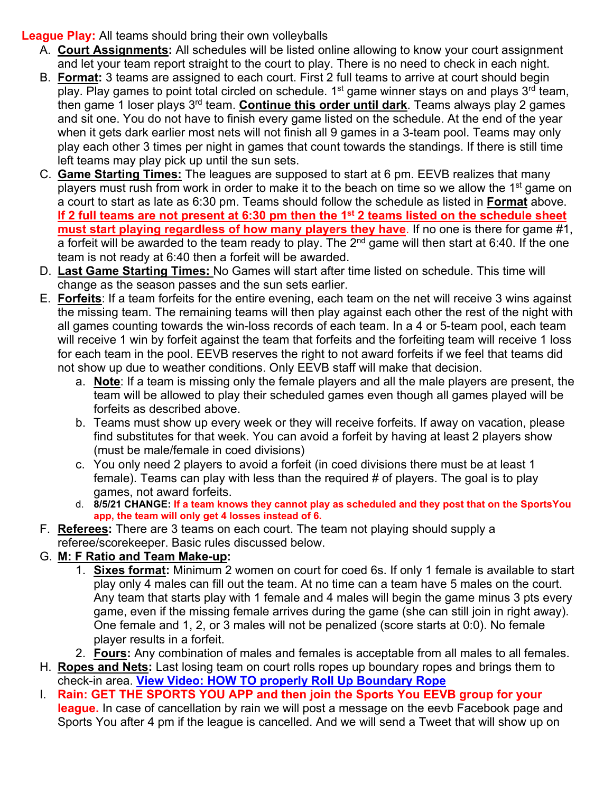#### **League Play:** All teams should bring their own volleyballs

- A. **Court Assignments:** All schedules will be listed online allowing to know your court assignment and let your team report straight to the court to play. There is no need to check in each night.
- B. **Format:** 3 teams are assigned to each court. First 2 full teams to arrive at court should begin play. Play games to point total circled on schedule.  $1<sup>st</sup>$  game winner stays on and plays  $3<sup>rd</sup>$  team, then game 1 loser plays 3rd team. **Continue this order until dark**. Teams always play 2 games and sit one. You do not have to finish every game listed on the schedule. At the end of the year when it gets dark earlier most nets will not finish all 9 games in a 3-team pool. Teams may only play each other 3 times per night in games that count towards the standings. If there is still time left teams may play pick up until the sun sets.
- C. **Game Starting Times:** The leagues are supposed to start at 6 pm. EEVB realizes that many players must rush from work in order to make it to the beach on time so we allow the 1<sup>st</sup> game on a court to start as late as 6:30 pm. Teams should follow the schedule as listed in **Format** above. **If 2 full teams are not present at 6:30 pm then the 1st 2 teams listed on the schedule sheet must start playing regardless of how many players they have**. If no one is there for game #1, a forfeit will be awarded to the team ready to play. The  $2<sup>nd</sup>$  game will then start at 6:40. If the one team is not ready at 6:40 then a forfeit will be awarded.
- D. **Last Game Starting Times:** No Games will start after time listed on schedule. This time will change as the season passes and the sun sets earlier.
- E. **Forfeits**: If a team forfeits for the entire evening, each team on the net will receive 3 wins against the missing team. The remaining teams will then play against each other the rest of the night with all games counting towards the win-loss records of each team. In a 4 or 5-team pool, each team will receive 1 win by forfeit against the team that forfeits and the forfeiting team will receive 1 loss for each team in the pool. EEVB reserves the right to not award forfeits if we feel that teams did not show up due to weather conditions. Only EEVB staff will make that decision.
	- a. **Note**: If a team is missing only the female players and all the male players are present, the team will be allowed to play their scheduled games even though all games played will be forfeits as described above.
	- b. Teams must show up every week or they will receive forfeits. If away on vacation, please find substitutes for that week. You can avoid a forfeit by having at least 2 players show (must be male/female in coed divisions)
	- c. You only need 2 players to avoid a forfeit (in coed divisions there must be at least 1 female). Teams can play with less than the required # of players. The goal is to play games, not award forfeits.
	- d. **8/5/21 CHANGE: If a team knows they cannot play as scheduled and they post that on the SportsYou app, the team will only get 4 losses instead of 6.**
- F. **Referees:** There are 3 teams on each court. The team not playing should supply a referee/scorekeeper. Basic rules discussed below.

## G. **M: F Ratio and Team Make-up:**

- 1. **Sixes format:** Minimum 2 women on court for coed 6s. If only 1 female is available to start play only 4 males can fill out the team. At no time can a team have 5 males on the court. Any team that starts play with 1 female and 4 males will begin the game minus 3 pts every game, even if the missing female arrives during the game (she can still join in right away). One female and 1, 2, or 3 males will not be penalized (score starts at 0:0). No female player results in a forfeit.
- 2. **Fours:** Any combination of males and females is acceptable from all males to all females.
- H. **Ropes and Nets:** Last losing team on court rolls ropes up boundary ropes and brings them to check-in area. **View Video: HOW TO properly Roll Up Boundary Rope**
- I. **Rain: GET THE SPORTS YOU APP and then join the Sports You EEVB group for your league.** In case of cancellation by rain we will post a message on the eevb Facebook page and Sports You after 4 pm if the league is cancelled. And we will send a Tweet that will show up on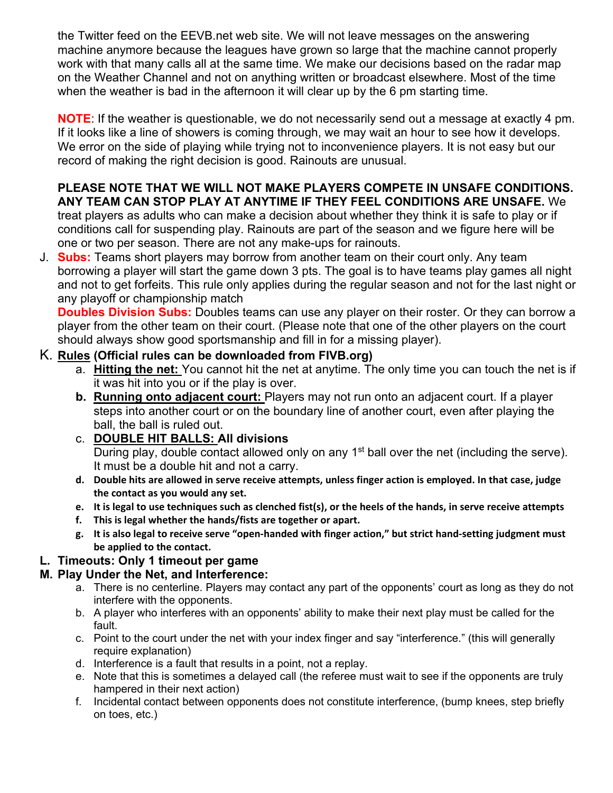the Twitter feed on the EEVB.net web site. We will not leave messages on the answering machine anymore because the leagues have grown so large that the machine cannot properly work with that many calls all at the same time. We make our decisions based on the radar map on the Weather Channel and not on anything written or broadcast elsewhere. Most of the time when the weather is bad in the afternoon it will clear up by the 6 pm starting time.

**NOTE**: If the weather is questionable, we do not necessarily send out a message at exactly 4 pm. If it looks like a line of showers is coming through, we may wait an hour to see how it develops. We error on the side of playing while trying not to inconvenience players. It is not easy but our record of making the right decision is good. Rainouts are unusual.

#### **PLEASE NOTE THAT WE WILL NOT MAKE PLAYERS COMPETE IN UNSAFE CONDITIONS. ANY TEAM CAN STOP PLAY AT ANYTIME IF THEY FEEL CONDITIONS ARE UNSAFE.** We

treat players as adults who can make a decision about whether they think it is safe to play or if conditions call for suspending play. Rainouts are part of the season and we figure here will be one or two per season. There are not any make-ups for rainouts.

J. **Subs:** Teams short players may borrow from another team on their court only. Any team borrowing a player will start the game down 3 pts. The goal is to have teams play games all night and not to get forfeits. This rule only applies during the regular season and not for the last night or any playoff or championship match

**Doubles Division Subs:** Doubles teams can use any player on their roster. Or they can borrow a player from the other team on their court. (Please note that one of the other players on the court should always show good sportsmanship and fill in for a missing player).

## K. **Rules (Official rules can be downloaded from FIVB.org)**

- a. **Hitting the net:** You cannot hit the net at anytime. The only time you can touch the net is if it was hit into you or if the play is over.
- **b. Running onto adjacent court:** Players may not run onto an adjacent court. If a player steps into another court or on the boundary line of another court, even after playing the ball, the ball is ruled out.

## c. **DOUBLE HIT BALLS: All divisions**

During play, double contact allowed only on any 1<sup>st</sup> ball over the net (including the serve). It must be a double hit and not a carry.

- d. Double hits are allowed in serve receive attempts, unless finger action is employed. In that case, judge **the contact as you would any set.**
- e. It is legal to use techniques such as clenched fist(s), or the heels of the hands, in serve receive attempts
- **f. This is legal whether the hands/fists are together or apart.**
- g. It is also legal to receive serve "open-handed with finger action," but strict hand-setting judgment must **be applied to the contact.**

## **L. Timeouts: Only 1 timeout per game**

## **M. Play Under the Net, and Interference:**

- a. There is no centerline. Players may contact any part of the opponents' court as long as they do not interfere with the opponents.
- b. A player who interferes with an opponents' ability to make their next play must be called for the fault.
- c. Point to the court under the net with your index finger and say "interference." (this will generally require explanation)
- d. Interference is a fault that results in a point, not a replay.
- e. Note that this is sometimes a delayed call (the referee must wait to see if the opponents are truly hampered in their next action)
- f. Incidental contact between opponents does not constitute interference, (bump knees, step briefly on toes, etc.)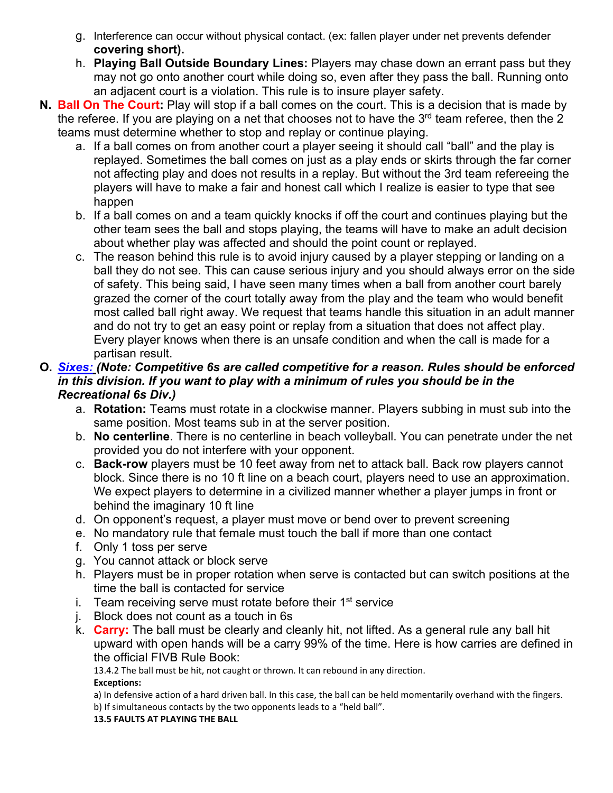- g. Interference can occur without physical contact. (ex: fallen player under net prevents defender **covering short).**
- h. **Playing Ball Outside Boundary Lines:** Players may chase down an errant pass but they may not go onto another court while doing so, even after they pass the ball. Running onto an adjacent court is a violation. This rule is to insure player safety.
- **N. Ball On The Court:** Play will stop if a ball comes on the court. This is a decision that is made by the referee. If you are playing on a net that chooses not to have the  $3<sup>rd</sup>$  team referee, then the 2 teams must determine whether to stop and replay or continue playing.
	- a. If a ball comes on from another court a player seeing it should call "ball" and the play is replayed. Sometimes the ball comes on just as a play ends or skirts through the far corner not affecting play and does not results in a replay. But without the 3rd team refereeing the players will have to make a fair and honest call which I realize is easier to type that see happen
	- b. If a ball comes on and a team quickly knocks if off the court and continues playing but the other team sees the ball and stops playing, the teams will have to make an adult decision about whether play was affected and should the point count or replayed.
	- c. The reason behind this rule is to avoid injury caused by a player stepping or landing on a ball they do not see. This can cause serious injury and you should always error on the side of safety. This being said, I have seen many times when a ball from another court barely grazed the corner of the court totally away from the play and the team who would benefit most called ball right away. We request that teams handle this situation in an adult manner and do not try to get an easy point or replay from a situation that does not affect play. Every player knows when there is an unsafe condition and when the call is made for a partisan result.

#### **O.** *Sixes: (Note: Competitive 6s are called competitive for a reason. Rules should be enforced in this division. If you want to play with a minimum of rules you should be in the Recreational 6s Div.)*

- a. **Rotation:** Teams must rotate in a clockwise manner. Players subbing in must sub into the same position. Most teams sub in at the server position.
- b. **No centerline**. There is no centerline in beach volleyball. You can penetrate under the net provided you do not interfere with your opponent.
- c. **Back-row** players must be 10 feet away from net to attack ball. Back row players cannot block. Since there is no 10 ft line on a beach court, players need to use an approximation. We expect players to determine in a civilized manner whether a player jumps in front or behind the imaginary 10 ft line
- d. On opponent's request, a player must move or bend over to prevent screening
- e. No mandatory rule that female must touch the ball if more than one contact
- f. Only 1 toss per serve
- g. You cannot attack or block serve
- h. Players must be in proper rotation when serve is contacted but can switch positions at the time the ball is contacted for service
- i. Team receiving serve must rotate before their  $1<sup>st</sup>$  service
- j. Block does not count as a touch in 6s
- k. **Carry:** The ball must be clearly and cleanly hit, not lifted. As a general rule any ball hit upward with open hands will be a carry 99% of the time. Here is how carries are defined in the official FIVB Rule Book:

13.4.2 The ball must be hit, not caught or thrown. It can rebound in any direction. **Exceptions:**

a) In defensive action of a hard driven ball. In this case, the ball can be held momentarily overhand with the fingers. b) If simultaneous contacts by the two opponents leads to a "held ball".

**13.5 FAULTS AT PLAYING THE BALL**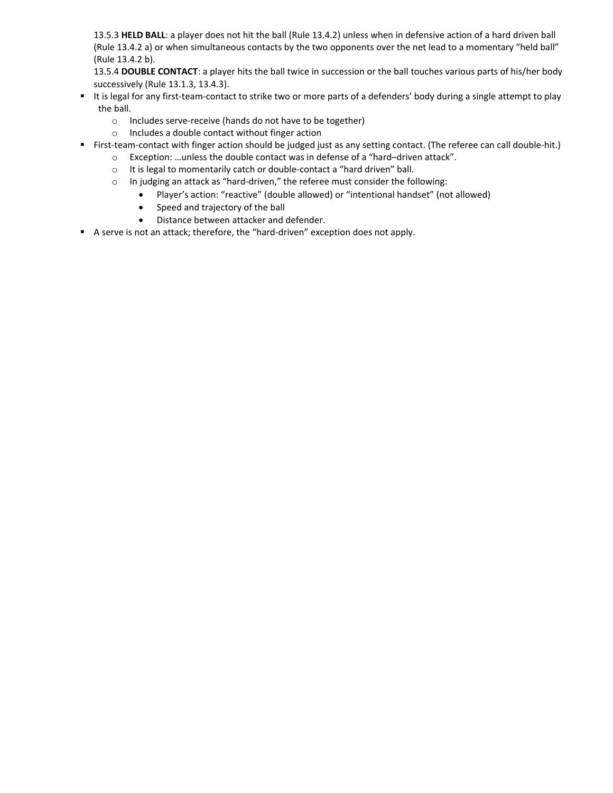13.5.3 **HELD BALL**: a player does not hit the ball (Rule 13.4.2) unless when in defensive action of a hard driven ball (Rule 13.4.2 a) or when simultaneous contacts by the two opponents over the net lead to a momentary "held ball" (Rule 13.4.2 b).

13.5.4 **DOUBLE CONTACT**: a player hits the ball twice in succession or the ball touches various parts of his/her body successively (Rule 13.1.3, 13.4.3).

- It is legal for any first-team-contact to strike two or more parts of a defenders' body during a single attempt to play the ball.
	- o Includes serve‐receive (hands do not have to be together)
	- o Includes a double contact without finger action
- First-team-contact with finger action should be judged just as any setting contact. (The referee can call double-hit.)
	- o Exception: …unless the double contact was in defense of a "hard–driven attack".
		- o It is legal to momentarily catch or double‐contact a "hard driven" ball.
		- o In judging an attack as "hard‐driven," the referee must consider the following:
			- Player's action: "reactive" (double allowed) or "intentional handset" (not allowed)
				- Speed and trajectory of the ball
				- Distance between attacker and defender.
- A serve is not an attack; therefore, the "hard-driven" exception does not apply.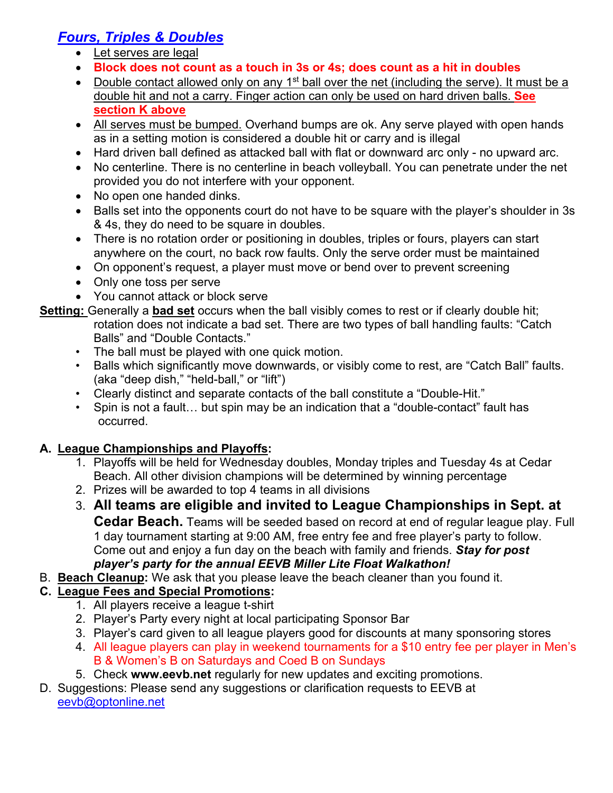## *Fours, Triples & Doubles*

- Let serves are legal
- **Block does not count as a touch in 3s or 4s; does count as a hit in doubles**
- Double contact allowed only on any 1<sup>st</sup> ball over the net (including the serve). It must be a double hit and not a carry. Finger action can only be used on hard driven balls. **See section K above**
- All serves must be bumped. Overhand bumps are ok. Any serve played with open hands as in a setting motion is considered a double hit or carry and is illegal
- Hard driven ball defined as attacked ball with flat or downward arc only no upward arc.
- No centerline. There is no centerline in beach volleyball. You can penetrate under the net provided you do not interfere with your opponent.
- No open one handed dinks.
- Balls set into the opponents court do not have to be square with the player's shoulder in 3s & 4s, they do need to be square in doubles.
- There is no rotation order or positioning in doubles, triples or fours, players can start anywhere on the court, no back row faults. Only the serve order must be maintained
- On opponent's request, a player must move or bend over to prevent screening
- Only one toss per serve
- You cannot attack or block serve
- **Setting:** Generally a **bad set** occurs when the ball visibly comes to rest or if clearly double hit; rotation does not indicate a bad set. There are two types of ball handling faults: "Catch Balls" and "Double Contacts."
	- The ball must be played with one quick motion.
	- Balls which significantly move downwards, or visibly come to rest, are "Catch Ball" faults. (aka "deep dish," "held-ball," or "lift")
	- Clearly distinct and separate contacts of the ball constitute a "Double-Hit."
	- Spin is not a fault... but spin may be an indication that a "double-contact" fault has occurred.

## **A. League Championships and Playoffs:**

- 1. Playoffs will be held for Wednesday doubles, Monday triples and Tuesday 4s at Cedar Beach. All other division champions will be determined by winning percentage
- 2. Prizes will be awarded to top 4 teams in all divisions
- 3. **All teams are eligible and invited to League Championships in Sept. at Cedar Beach.** Teams will be seeded based on record at end of regular league play. Full 1 day tournament starting at 9:00 AM, free entry fee and free player's party to follow. Come out and enjoy a fun day on the beach with family and friends. *Stay for post player's party for the annual EEVB Miller Lite Float Walkathon!*
- B. **Beach Cleanup:** We ask that you please leave the beach cleaner than you found it.

## **C. League Fees and Special Promotions:**

- 1. All players receive a league t-shirt
- 2. Player's Party every night at local participating Sponsor Bar
- 3. Player's card given to all league players good for discounts at many sponsoring stores
- 4. All league players can play in weekend tournaments for a \$10 entry fee per player in Men's B & Women's B on Saturdays and Coed B on Sundays
- 5. Check **www.eevb.net** regularly for new updates and exciting promotions.
- D. Suggestions: Please send any suggestions or clarification requests to EEVB at eevb@optonline.net